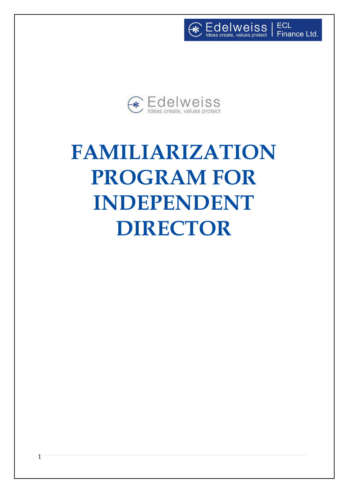ECL Finance Ltd.

Edelweiss<br>Ideas create, values protect



 $\left( \frac{1}{2} \right)$ 

# **FAMILIARIZATION PROGRAM FOR INDEPENDENT DIRECTOR**